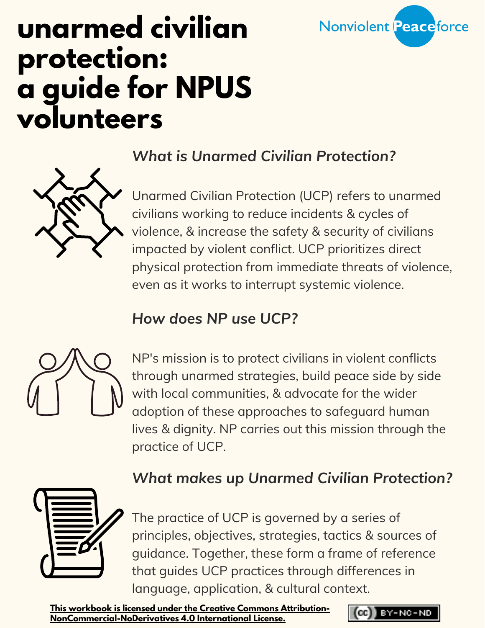

# **unarmed civilian protection: a guide for NPUS volunteers**

### *What is Unarmed Civilian Protection?*



### *How does NP use UCP?*



NP's mission is to protect civilians in violent conflicts through unarmed strategies, build peace side by side with local communities, & advocate for the wider adoption of these approaches to safeguard human lives & dignity. NP carries out this mission through the practice of UCP.

### *What makes up Unarmed Civilian Protection?*



The practice of UCP is governed by a series of principles, objectives, strategies, tactics & sources of guidance. Together, these form a frame of reference that guides UCP practices through differences in language, application, & cultural context.

**This workbook is licensed under the Creative Commons Attribution-[NonCommercial-NoDerivatives](https://creativecommons.org/licenses/by-nc-nd/4.0/legalcode) 4.0 International License.**

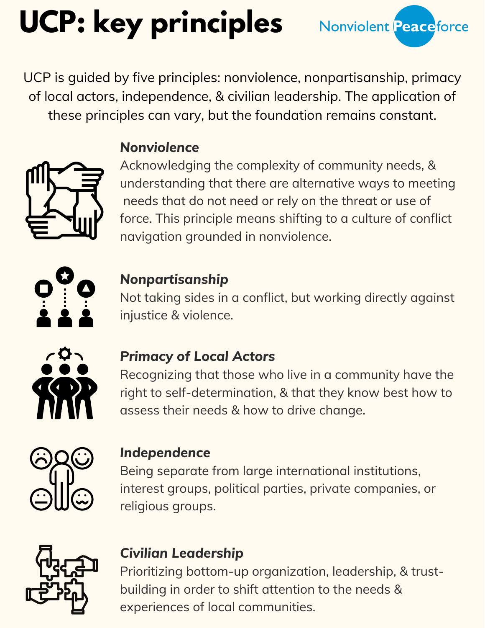# **UCP: key principles**

UCP is guided by five principles: nonviolence, nonpartisanship, primacy of local actors, independence, & civilian leadership. The application of these principles can vary, but the foundation remains constant.



### *Nonviolence*

Acknowledging the complexity of community needs, & understanding that there are alternative ways to meeting needs that do not need or rely on the threat or use of force. This principle means shifting to a culture of conflict navigation grounded in nonviolence.

Nonviolent Peaceforce



### *Nonpartisanship*

Not taking sides in a conflict, but working directly against injustice & violence.



### *Primacy of Local Actors*

Recognizing that those who live in a community have the right to self-determination, & that they know best how to assess their needs & how to drive change.



#### *Independence*

Being separate from large international institutions, interest groups, political parties, private companies, or religious groups.



### *Civilian Leadership*

Prioritizing bottom-up organization, leadership, & trustbuilding in order to shift attention to the needs & experiences of local communities.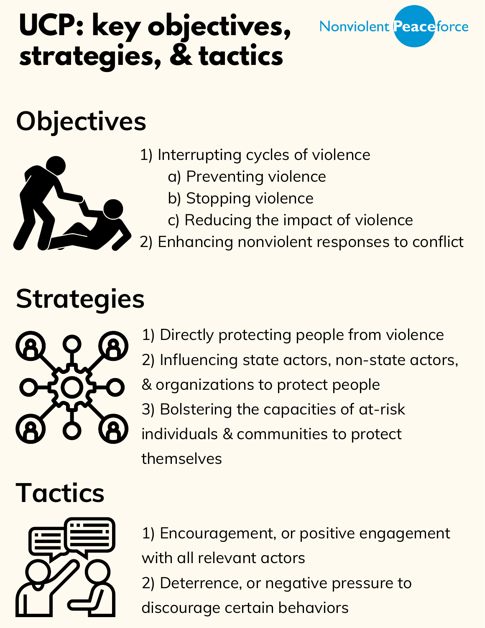# **UCP: key objectives, strategies, & tactics**



# **Objectives**



- 1) Interrupting cycles of violence
	- a) Preventing violence
	- b) Stopping violence
	- c) Reducing the impact of violence
- 2) Enhancing nonviolent responses to conflict

# **Strategies**



1) Directly protecting people from violence 2) Influencing state actors, non-state actors, & organizations to protect people 3) Bolstering the capacities of at-risk individuals & communities to protect themselves

# **Tactics**



1) Encouragement, or positive engagement with all relevant actors 2) Deterrence, or negative pressure to discourage certain behaviors